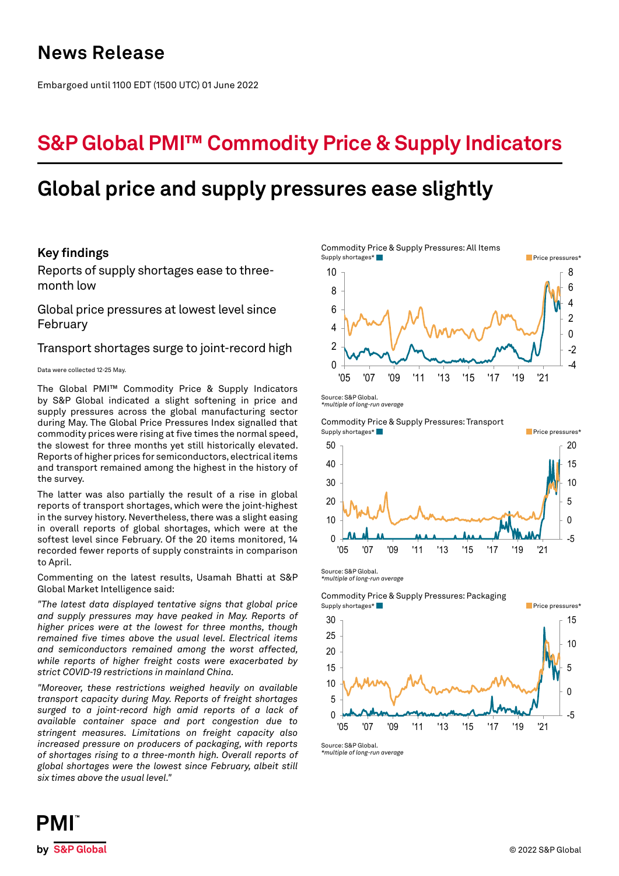## **News Release**

Embargoed until 1100 EDT (1500 UTC) 01 June 2022

# **S&P Global PMI™ Commodity Price & Supply Indicators**

# **Global price and supply pressures ease slightly**

## **Key findings**

Reports of supply shortages ease to threemonth low

Global price pressures at lowest level since February

### Transport shortages surge to joint-record high

### Data were collected 12-25 May.

The Global PMI™ Commodity Price & Supply Indicators by S&P Global indicated a slight softening in price and supply pressures across the global manufacturing sector during May. The Global Price Pressures Index signalled that commodity prices were rising at five times the normal speed, the slowest for three months yet still historically elevated. Reports of higher prices for semiconductors, electrical items and transport remained among the highest in the history of the survey.

The latter was also partially the result of a rise in global reports of transport shortages, which were the joint-highest in the survey history. Nevertheless, there was a slight easing in overall reports of global shortages, which were at the softest level since February. Of the 20 items monitored, 14 recorded fewer reports of supply constraints in comparison to April.

Commenting on the latest results, Usamah Bhatti at S&P Global Market Intelligence said:

*"The latest data displayed tentative signs that global price and supply pressures may have peaked in May. Reports of higher prices were at the lowest for three months, though remained five times above the usual level. Electrical items and semiconductors remained among the worst affected, while reports of higher freight costs were exacerbated by strict COVID-19 restrictions in mainland China.*

*"Moreover, these restrictions weighed heavily on available transport capacity during May. Reports of freight shortages surged to a joint-record high amid reports of a lack of available container space and port congestion due to stringent measures. Limitations on freight capacity also increased pressure on producers of packaging, with reports of shortages rising to a three-month high. Overall reports of global shortages were the lowest since February, albeit still six times above the usual level."*

Commodity Price & Supply Pressures: All Items -4 -2  $\Omega$ 2 4 6 8  $\Omega$ 2 4 6 8 10 '05 '07 '09 '11 '13 '15 '17 '19 '21 Supply shortages\* Price pressures\* Price pressures\* Price pressures\* Price pressures\*

Source: S&P Global. *\*multiple of long-run average*



Source: S&P Global. *\*multiple of long-run average*

Commodity Price & Supply Pressures: Packaging Supply shortages\* **Price pressures**\* Price pressures\* **Price pressures**\*



Source: S&P Global. *\*multiple of long-run average*